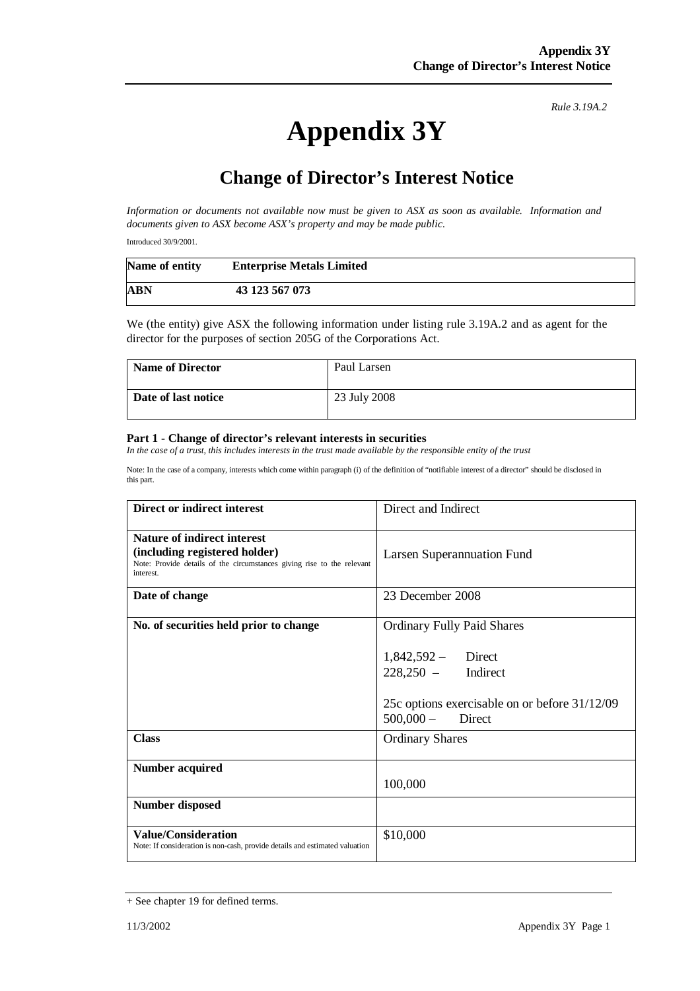*Rule 3.19A.2*

## **Appendix 3Y**

## **Change of Director's Interest Notice**

*Information or documents not available now must be given to ASX as soon as available. Information and documents given to ASX become ASX's property and may be made public.* 

Introduced 30/9/2001.

| Name of entity | <b>Enterprise Metals Limited</b> |  |
|----------------|----------------------------------|--|
| <b>ABN</b>     | 43 123 567 073                   |  |

We (the entity) give ASX the following information under listing rule 3.19A.2 and as agent for the director for the purposes of section 205G of the Corporations Act.

| <b>Name of Director</b> | Paul Larsen  |
|-------------------------|--------------|
| Date of last notice     | 23 July 2008 |

## **Part 1 - Change of director's relevant interests in securities**

*In the case of a trust, this includes interests in the trust made available by the responsible entity of the trust* 

Note: In the case of a company, interests which come within paragraph (i) of the definition of "notifiable interest of a director" should be disclosed in this part.

| <b>Direct or indirect interest</b>                                                                                                                         | Direct and Indirect                                                                                                                                         |
|------------------------------------------------------------------------------------------------------------------------------------------------------------|-------------------------------------------------------------------------------------------------------------------------------------------------------------|
| <b>Nature of indirect interest</b><br>(including registered holder)<br>Note: Provide details of the circumstances giving rise to the relevant<br>interest. | Larsen Superannuation Fund                                                                                                                                  |
| Date of change                                                                                                                                             | 23 December 2008                                                                                                                                            |
| No. of securities held prior to change                                                                                                                     | <b>Ordinary Fully Paid Shares</b><br>$1,842,592 -$ Direct<br>$228,250 -$ Indirect<br>25c options exercisable on or before 31/12/09<br>$500,000 -$<br>Direct |
| <b>Class</b>                                                                                                                                               | <b>Ordinary Shares</b>                                                                                                                                      |
| <b>Number acquired</b>                                                                                                                                     | 100,000                                                                                                                                                     |
| <b>Number disposed</b>                                                                                                                                     |                                                                                                                                                             |
| <b>Value/Consideration</b><br>Note: If consideration is non-cash, provide details and estimated valuation                                                  | \$10,000                                                                                                                                                    |

<sup>+</sup> See chapter 19 for defined terms.